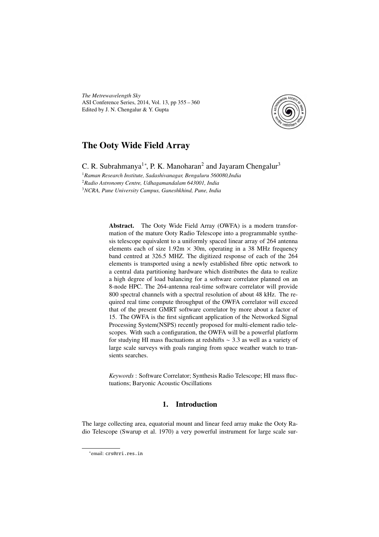*The Metrewavelength Sky* ASI Conference Series, 2014, Vol. 13, pp 355 – 360 Edited by J. N. Chengalur & Y. Gupta



# The Ooty Wide Field Array

C. R. Subrahmanya<sup>1</sup><sup>\*</sup>, P. K. Manoharan<sup>2</sup> and Jayaram Chengalur<sup>3</sup>

<sup>1</sup>*Raman Research Institute, Sadashivanagar, Bengaluru 560080,India* <sup>2</sup>*Radio Astronomy Centre, Udhagamandalam 643001, India* <sup>3</sup>*NCRA, Pune University Campus, Ganeshkhind, Pune, India*

> Abstract. The Ooty Wide Field Array (OWFA) is a modern transformation of the mature Ooty Radio Telescope into a programmable synthesis telescope equivalent to a uniformly spaced linear array of 264 antenna elements each of size  $1.92m \times 30m$ , operating in a 38 MHz frequency band centred at 326.5 MHZ. The digitized response of each of the 264 elements is transported using a newly established fibre optic network to a central data partitioning hardware which distributes the data to realize a high degree of load balancing for a software correlator planned on an 8-node HPC. The 264-antenna real-time software correlator will provide 800 spectral channels with a spectral resolution of about 48 kHz. The required real time compute throughput of the OWFA correlator will exceed that of the present GMRT software correlator by more about a factor of 15. The OWFA is the first signficant application of the Networked Signal Processing System(NSPS) recently proposed for multi-element radio telescopes. With such a configuration, the OWFA will be a powerful platform for studying HI mass fluctuations at redshifts ∼ 3.3 as well as a variety of large scale surveys with goals ranging from space weather watch to transients searches.

> *Keywords* : Software Correlator; Synthesis Radio Telescope; HI mass fluctuations; Baryonic Acoustic Oscillations

## 1. Introduction

The large collecting area, equatorial mount and linear feed array make the Ooty Radio Telescope (Swarup et al. 1970) a very powerful instrument for large scale sur-

<sup>∗</sup> email: crs@rri.res.in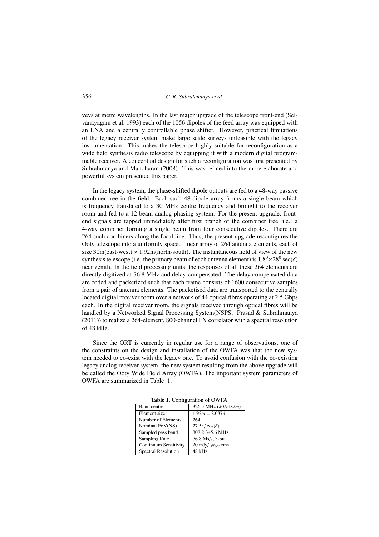veys at metre wavelengths. In the last major upgrade of the telescope front-end (Selvanayagam et al. 1993) each of the 1056 dipoles of the feed array was equipped with an LNA and a centrally controllable phase shifter. However, practical limitations of the legacy receiver system make large scale surveys unfeasible with the legacy instrumentation. This makes the telescope highly suitable for reconfiguration as a wide field synthesis radio telescope by equipping it with a modern digital programmable receiver. A conceptual design for such a reconfiguration was first presented by Subrahmanya and Manoharan (2008). This was refined into the more elaborate and powerful system presented this paper.

In the legacy system, the phase-shifted dipole outputs are fed to a 48-way passive combiner tree in the field. Each such 48-dipole array forms a single beam which is frequency translated to a 30 MHz centre frequency and brought to the receiver room and fed to a 12-beam analog phasing system. For the present upgrade, frontend signals are tapped immediately after first branch of the combiner tree, i.e. a 4-way combiner forming a single beam from four consecutive dipoles. There are 264 such combiners along the focal line. Thus, the present upgrade reconfigures the Ooty telescope into a uniformly spaced linear array of 264 antenna elements, each of size 30m(east-west)  $\times$  1.92m(north-south). The instantaneous field of view of the new synthesis telescope (i.e. the primary beam of each antenna element) is  $1.8^0 \times 28^0$  sec( $\delta$ ) near zenith. In the field processing units, the responses of all these 264 elements are directly digitized at 76.8 MHz and delay-compensated. The delay compensated data are coded and packetized such that each frame consists of 1600 consecutive samples from a pair of antenna elements. The packetised data are transported to the centrally located digital receiver room over a network of 44 optical fibres operating at 2.5 Gbps each. In the digital receiver room, the signals received through optical fibres will be handled by a Networked Signal Processing System(NSPS, Prasad & Subrahmanya (2011)) to realize a 264-element, 800-channel FX correlator with a spectral resolution of 48 kHz.

Since the ORT is currently in regular use for a range of observations, one of the constraints on the design and installation of the OWFA was that the new system needed to co-exist with the legacy one. To avoid confusion with the co-existing legacy analog receiver system, the new system resulting from the above upgrade will be called the Ooty Wide Field Array (OWFA). The important system parameters of OWFA are summarized in Table 1.

| <b>Band centre</b>           | 326.5 MHz ( $\lambda$ 0.9182m)   |
|------------------------------|----------------------------------|
| Element size                 | $1.92m = 2.087\lambda$           |
| Number of Elements           | 264                              |
| Nominal FoV(NS)              | $27.5^\circ/\cos(\delta)$        |
| Sampled pass band            | 307.2:345.6 MHz                  |
| Sampling Rate                | 76.8 Ms/s, 3-bit                 |
| <b>Continuum Sensitivity</b> | 10 mJy/ $\sqrt{t_{\rm sec}}$ rms |
| Spectral Resolution          | 48 kHz                           |
|                              |                                  |

Table 1. Configuration of OWFA.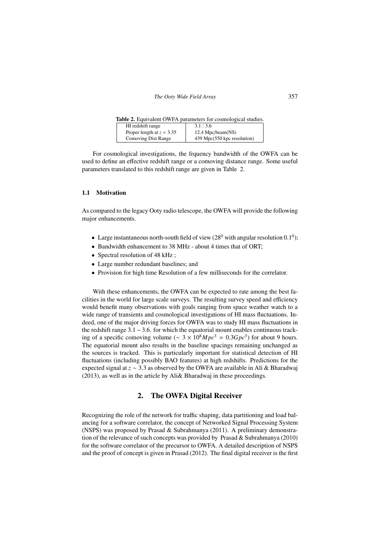*The Ooty Wide Field Array* 357

Table 2. Equivalent OWFA parameters for cosmological studies.

| HI redshift range           | 3.1:3.6                     |
|-----------------------------|-----------------------------|
| Proper length at $z = 3.35$ | 12.4 Mpc/beam(NS)           |
| <b>Comoving Dist Range</b>  | 439 Mpc(550 kpc resolution) |

For cosmological investigations, the frquency bandwidth of the OWFA can be used to define an effective redshift range or a comoving distance range. Some useful parameters translated to this redshift range are given in Table 2.

#### 1.1 Motivation

As compared to the legacy Ooty radio telescope, the OWFA will provide the following major enhancements.

- Large instantaneous north-south field of view  $(28^0 \text{ with angular resolution } 0.1^0)$ ;
- Bandwidth enhancement to 38 MHz about 4 times that of ORT;
- Spectral resolution of 48 kHz;
- Large number redundant baselines; and
- Provision for high time Resolution of a few milliseconds for the correlator.

With these enhancements, the OWFA can be expected to rate among the best facilities in the world for large scale surveys. The resulting survey speed and efficiency would benefit many observations with goals ranging from space weather watch to a wide range of transients and cosmological investigations of HI mass fluctuations. Indeed, one of the major driving forces for OWFA was to study HI mass fluctuations in the redshift range  $3.1 - 3.6$ . for which the equatorial mount enables continuous tracking of a specific comoving volume ( $\sim 3 \times 10^8 Mpc^3 = 0.3 Gpc^3$ ) for about 9 hours. The equatorial mount also results in the baseline spacings remaining unchanged as the sources is tracked. This is particularly important for statistical detection of HI fluctuations (including possibly BAO features) at high redshifts. Predictions for the expected signal at *z* ∼ 3.3 as observed by the OWFA are available in Ali & Bharadwaj (2013), as well as in the article by Ali& Bharadwaj in these proceedings.

# 2. The OWFA Digital Receiver

Recognizing the role of the network for traffic shaping, data partitioning and load balancing for a software correlator, the concept of Networked Signal Processing System (NSPS) was proposed by Prasad & Subrahmanya (2011). A preliminary demonstration of the relevance of such concepts was provided by Prasad & Subrahmanya (2010) for the software correlator of the precursor to OWFA. A detailed description of NSPS and the proof of concept is given in Prasad (2012). The final digital receiver is the first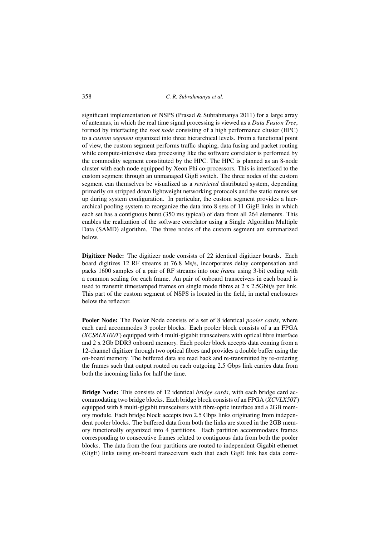significant implementation of NSPS (Prasad & Subrahmanya 2011) for a large array of antennas, in which the real time signal processing is viewed as a *Data Fusion Tree*, formed by interfacing the *root node* consisting of a high performance cluster (HPC) to a *custom segment* organized into three hierarchical levels. From a functional point of view, the custom segment performs traffic shaping, data fusing and packet routing while compute-intensive data processing like the software correlator is performed by the commodity segment constituted by the HPC. The HPC is planned as an 8-node cluster with each node equipped by Xeon Phi co-processors. This is interfaced to the custom segment through an unmanaged GigE switch. The three nodes of the custom segment can themselves be visualized as a *restricted* distributed system, depending primarily on stripped down lightweight networking protocols and the static routes set up during system configuration. In particular, the custom segment provides a hierarchical pooling system to reorganize the data into 8 sets of 11 GigE links in which each set has a contiguous burst (350 ms typical) of data from all 264 elements. This enables the realization of the software correlator using a Single Algorithm Multiple Data (SAMD) algorithm. The three nodes of the custom segment are summarized below.

Digitizer Node: The digitizer node consists of 22 identical digitizer boards. Each board digitizes 12 RF streams at 76.8 Ms/s, incorporates delay compensation and packs 1600 samples of a pair of RF streams into one *frame* using 3-bit coding with a common scaling for each frame. An pair of onboard transceivers in each board is used to transmit timestamped frames on single mode fibres at 2 x 2.5Gbit/s per link. This part of the custom segment of NSPS is located in the field, in metal enclosures below the reflector.

Pooler Node: The Pooler Node consists of a set of 8 identical *pooler cards*, where each card accommodes 3 pooler blocks. Each pooler block consists of a an FPGA (*XCS6LX100T*) equipped with 4 multi-gigabit transceivers with optical fibre interface and 2 x 2Gb DDR3 onboard memory. Each pooler block accepts data coming from a 12-channel digitizer through two optical fibres and provides a double buffer using the on-board memory. The buffered data are read back and re-transmitted by re-ordering the frames such that output routed on each outgoing 2.5 Gbps link carries data from both the incoming links for half the time.

Bridge Node: This consists of 12 identical *bridge cards*, with each bridge card accommodating two bridge blocks. Each bridge block consists of an FPGA (*XCVLX50T*) equipped with 8 multi-gigabit transceivers with fibre-optic interface and a 2GB memory module. Each bridge block accepts two 2.5 Gbps links originating from independent pooler blocks. The buffered data from both the links are stored in the 2GB memory functionally organized into 4 partitions. Each partition accommodates frames corresponding to consecutive frames related to contiguous data from both the pooler blocks. The data from the four partitions are routed to independent Gigabit ethernet (GigE) links using on-board transceivers such that each GigE link has data corre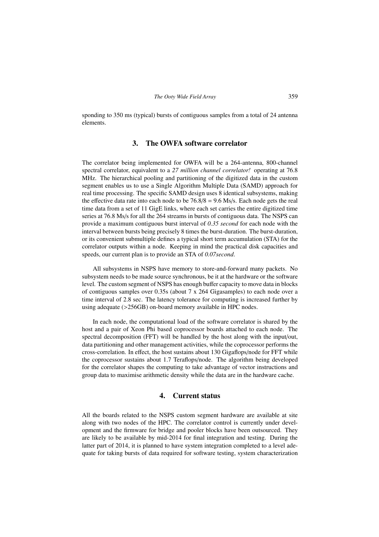sponding to 350 ms (typical) bursts of contiguous samples from a total of 24 antenna elements.

# 3. The OWFA software correlator

The correlator being implemented for OWFA will be a 264-antenna, 800-channel spectral correlator, equivalent to a *27 million channel correlator!* operating at 76.8 MHz. The hierarchical pooling and partitioning of the digitized data in the custom segment enables us to use a Single Algorithm Multiple Data (SAMD) approach for real time processing. The specific SAMD design uses 8 identical subsystems, making the effective data rate into each node to be  $76.8/8 = 9.6$  Ms/s. Each node gets the real time data from a set of 11 GigE links, where each set carries the entire digitized time series at 76.8 Ms/s for all the 264 streams in bursts of contiguous data. The NSPS can provide a maximum contiguous burst interval of *0.35 second* for each node with the interval between bursts being precisely 8 times the burst-duration. The burst-duration, or its convenient submultiple defines a typical short term accumulation (STA) for the correlator outputs within a node. Keeping in mind the practical disk capacities and speeds, our current plan is to provide an STA of *0.07second*.

All subsystems in NSPS have memory to store-and-forward many packets. No subsystem needs to be made source synchronous, be it at the hardware or the software level. The custom segment of NSPS has enough buffer capacity to move data in blocks of contiguous samples over 0.35s (about  $7 \times 264$  Gigasamples) to each node over a time interval of 2.8 sec. The latency tolerance for computing is increased further by using adequate (>256GB) on-board memory available in HPC nodes.

In each node, the computational load of the software correlator is shared by the host and a pair of Xeon Phi based coprocessor boards attached to each node. The spectral decomposition (FFT) will be handled by the host along with the input/out, data partitioning and other management activities, while the coprocessor performs the cross-correlation. In effect, the host sustains about 130 Gigaflops/node for FFT while the coprocessor sustains about 1.7 Teraflops/node. The algorithm being developed for the correlator shapes the computing to take advantage of vector instructions and group data to maximise arithmetic density while the data are in the hardware cache.

## 4. Current status

All the boards related to the NSPS custom segment hardware are available at site along with two nodes of the HPC. The correlator control is currently under development and the firmware for bridge and pooler blocks have been outsourced. They are likely to be available by mid-2014 for final integration and testing. During the latter part of 2014, it is planned to have system integration completed to a level adequate for taking bursts of data required for software testing, system characterization